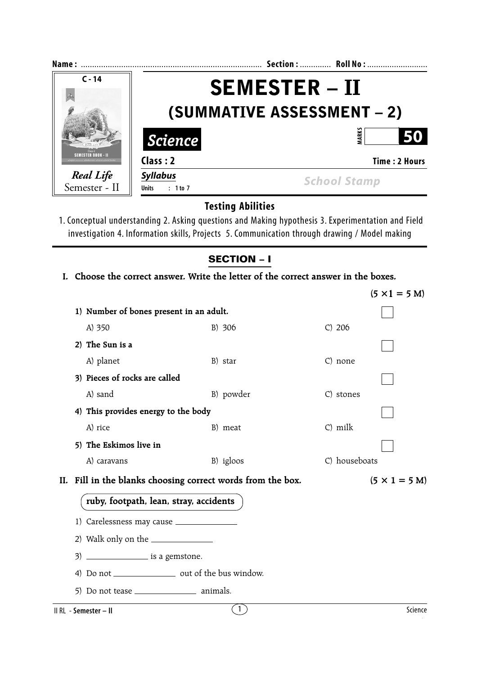| Name:              |                                   | Section:  Roll No:   |  |
|--------------------|-----------------------------------|----------------------|--|
| $C - 14$           | <b>SEMESTER – II</b>              |                      |  |
|                    |                                   |                      |  |
|                    | <b>(SUMMATIVE ASSESSMENT – 2)</b> |                      |  |
|                    | <b>Science</b>                    | ARK:<br>50           |  |
| SEMESTER BOOK - II | Class: 2                          | <b>Time: 2 Hours</b> |  |
| <b>Real Life</b>   | <b>Syllabus</b>                   | <b>School Stamp</b>  |  |
| Semester - II      | : 1 to 7<br><b>Units</b>          |                      |  |

## **Testing Abilities**

1. Conceptual understanding 2. Asking questions and Making hypothesis 3. Experimentation and Field investigation 4. Information skills, Projects 5. Communication through drawing / Model making

## **SECTION – I**

**I. Choose the correct answer. Write the letter of the correct answer in the boxes.**

|                                                             |                  |               | $(5 \times 1 = 5 \text{ M})$ |  |  |
|-------------------------------------------------------------|------------------|---------------|------------------------------|--|--|
| 1) Number of bones present in an adult.                     |                  |               |                              |  |  |
| A) 350                                                      | B) 306           | $C)$ 206      |                              |  |  |
| 2) The Sun is a                                             |                  |               |                              |  |  |
| A) planet                                                   | B) star          | C) none       |                              |  |  |
| 3) Pieces of rocks are called                               |                  |               |                              |  |  |
| A) sand                                                     | B) powder        | C) stones     |                              |  |  |
| 4) This provides energy to the body                         |                  |               |                              |  |  |
| A) rice                                                     | B) meat          | C) milk       |                              |  |  |
| 5) The Eskimos live in                                      |                  |               |                              |  |  |
| A) caravans                                                 | B) igloos        | C) houseboats |                              |  |  |
| II. Fill in the blanks choosing correct words from the box. |                  |               | $(5 \times 1 = 5 M)$         |  |  |
| ruby, footpath, lean, stray, accidents                      |                  |               |                              |  |  |
|                                                             |                  |               |                              |  |  |
|                                                             |                  |               |                              |  |  |
|                                                             |                  |               |                              |  |  |
| 4) Do not ____________________ out of the bus window.       |                  |               |                              |  |  |
|                                                             |                  |               |                              |  |  |
| II RL - Semester - II                                       | $\left(1\right)$ |               | Science                      |  |  |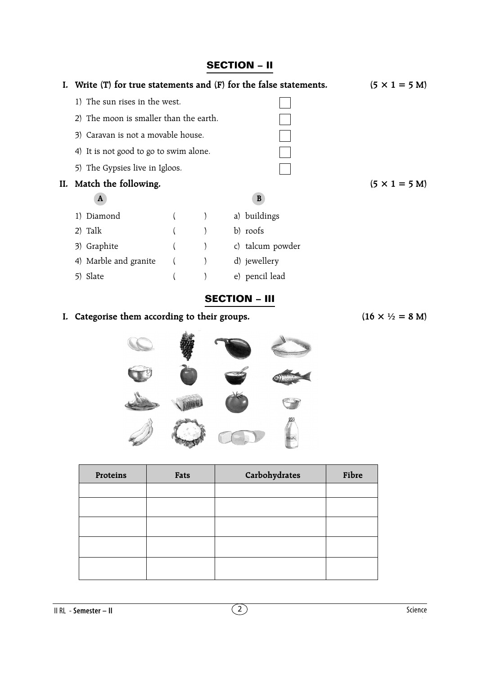## **SECTION – II**





| Proteins | Fats | Carbohydrates | Fibre |
|----------|------|---------------|-------|
|          |      |               |       |
|          |      |               |       |
|          |      |               |       |
|          |      |               |       |
|          |      |               |       |

II RL - **Semester – II** 2 Science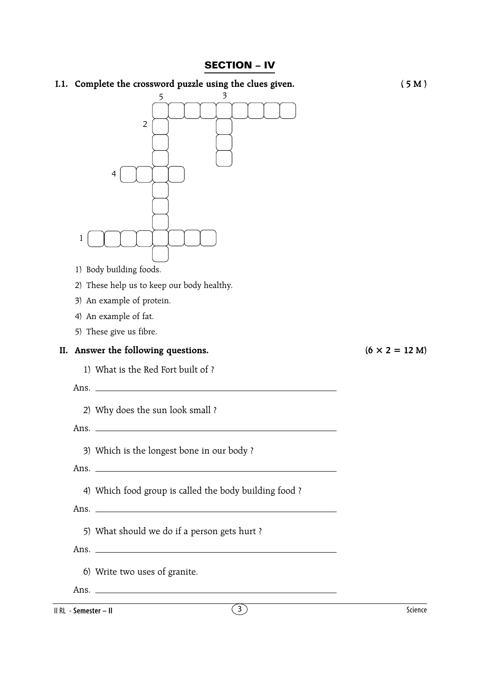## **SECTION – IV**

|     | I.1. Complete the crossword puzzle using the clues given.                                                                     | (5M)                          |
|-----|-------------------------------------------------------------------------------------------------------------------------------|-------------------------------|
|     | 3<br>5<br>2<br>4                                                                                                              |                               |
|     | 1                                                                                                                             |                               |
|     | 1) Body building foods.                                                                                                       |                               |
|     | 2) These help us to keep our body healthy.                                                                                    |                               |
|     | 3) An example of protein.                                                                                                     |                               |
|     | 4) An example of fat.                                                                                                         |                               |
|     | 5) These give us fibre.                                                                                                       |                               |
| II. | Answer the following questions.                                                                                               | $(6 \times 2 = 12 \text{ M})$ |
|     | 1) What is the Red Fort built of ?                                                                                            |                               |
|     | <u> 1989 - John Stein, mars and de Branch and de Branch and de Branch and de Branch and de Branch and de Branch a</u><br>Ans. |                               |
|     | 2) Why does the sun look small?                                                                                               |                               |
|     | Ans.                                                                                                                          |                               |
|     |                                                                                                                               |                               |
|     | 3) Which is the longest bone in our body?                                                                                     |                               |
|     |                                                                                                                               |                               |
|     | 4) Which food group is called the body building food ?                                                                        |                               |
|     | Ans.                                                                                                                          |                               |
|     | 5) What should we do if a person gets hurt?                                                                                   |                               |
|     |                                                                                                                               |                               |
|     | 6) Write two uses of granite.                                                                                                 |                               |
|     |                                                                                                                               |                               |

II RL - **Semester – II** 3 Science